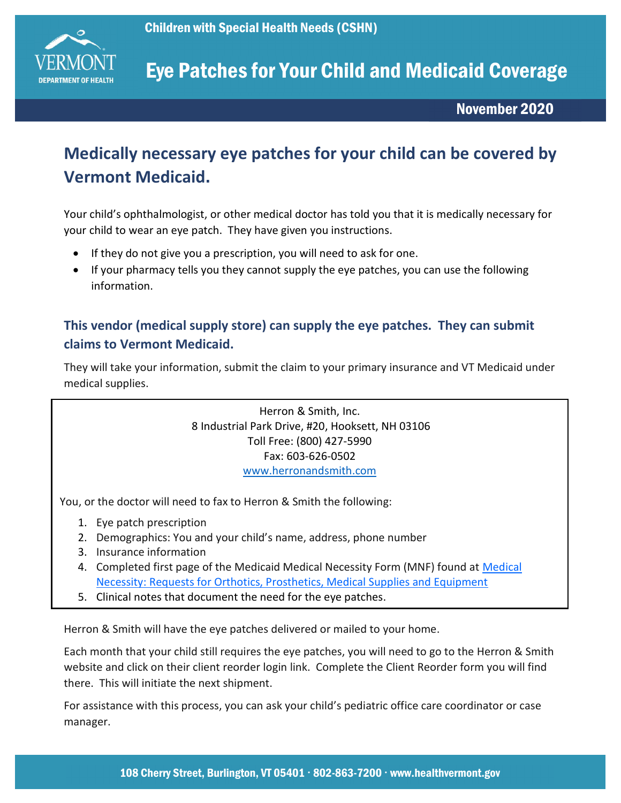

## Eye Patches for Your Child and Medicaid Coverage

November 2020

### Medically necessary eye patches for your child can be covered by Vermont Medicaid.

Your child's ophthalmologist, or other medical doctor has told you that it is medically necessary for your child to wear an eye patch. They have given you instructions.

- If they do not give you a prescription, you will need to ask for one.
- If your pharmacy tells you they cannot supply the eye patches, you can use the following information.

#### This vendor (medical supply store) can supply the eye patches. They can submit claims to Vermont Medicaid.

They will take your information, submit the claim to your primary insurance and VT Medicaid under medical supplies.

> Herron & Smith, Inc. 8 Industrial Park Drive, #20, Hooksett, NH 03106 Toll Free: (800) 427-5990 Fax: 603-626-0502 www.herronandsmith.com

You, or the doctor will need to fax to Herron & Smith the following:

- 1. Eye patch prescription
- 2. Demographics: You and your child's name, address, phone number
- 3. Insurance information
- 4. Completed first page of the Medicaid Medical Necessity Form (MNF) found at Medical Necessity: Requests for Orthotics, Prosthetics, Medical Supplies and Equipment
- 5. Clinical notes that document the need for the eye patches.

Herron & Smith will have the eye patches delivered or mailed to your home.

Each month that your child still requires the eye patches, you will need to go to the Herron & Smith website and click on their client reorder login link. Complete the Client Reorder form you will find there. This will initiate the next shipment.

For assistance with this process, you can ask your child's pediatric office care coordinator or case manager.